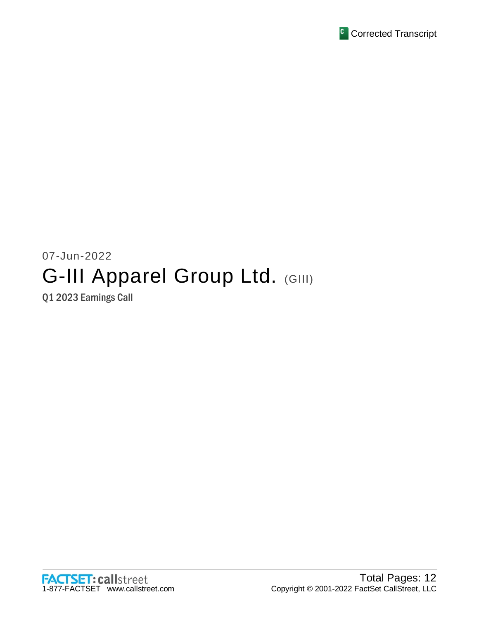

# 07-Jun-2022 G-III Apparel Group Ltd. (GIII)

Q1 2023 Earnings Call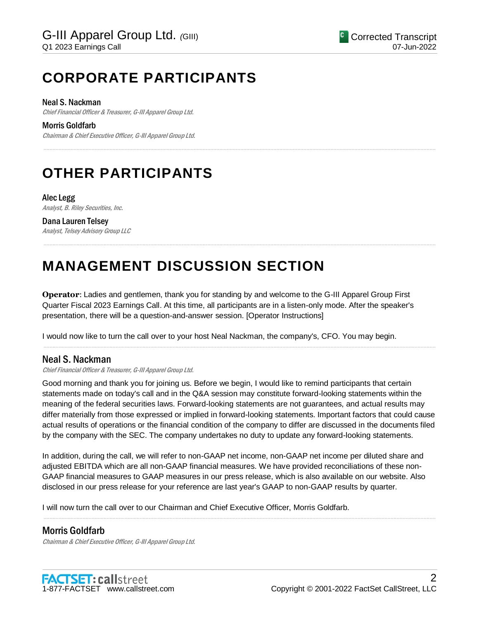## **CORPORATE PARTICIPANTS**

#### Neal S. Nackman

Chief Financial Officer & Treasurer, G-III Apparel Group Ltd.

Morris Goldfarb

Chairman & Chief Executive Officer, G-III Apparel Group Ltd.

## **OTHER PARTICIPANTS**

Alec Legg Analyst, B. Riley Securities, Inc.

Dana Lauren Telsey Analyst, Telsey Advisory Group LLC

## **MANAGEMENT DISCUSSION SECTION**

**Operator**: Ladies and gentlemen, thank you for standing by and welcome to the G-III Apparel Group First Quarter Fiscal 2023 Earnings Call. At this time, all participants are in a listen-only mode. After the speaker's presentation, there will be a question-and-answer session. [Operator Instructions]

.....................................................................................................................................................................................................................................................................

.....................................................................................................................................................................................................................................................................

I would now like to turn the call over to your host Neal Nackman, the company's, CFO. You may begin.

### Neal S. Nackman

Chief Financial Officer & Treasurer, G-III Apparel Group Ltd.

Good morning and thank you for joining us. Before we begin, I would like to remind participants that certain statements made on today's call and in the Q&A session may constitute forward-looking statements within the meaning of the federal securities laws. Forward-looking statements are not guarantees, and actual results may differ materially from those expressed or implied in forward-looking statements. Important factors that could cause actual results of operations or the financial condition of the company to differ are discussed in the documents filed by the company with the SEC. The company undertakes no duty to update any forward-looking statements.

.....................................................................................................................................................................................................................................................................

In addition, during the call, we will refer to non-GAAP net income, non-GAAP net income per diluted share and adjusted EBITDA which are all non-GAAP financial measures. We have provided reconciliations of these non-GAAP financial measures to GAAP measures in our press release, which is also available on our website. Also disclosed in our press release for your reference are last year's GAAP to non-GAAP results by quarter.

.....................................................................................................................................................................................................................................................................

I will now turn the call over to our Chairman and Chief Executive Officer, Morris Goldfarb.

## Morris Goldfarb

Chairman & Chief Executive Officer, G-III Apparel Group Ltd.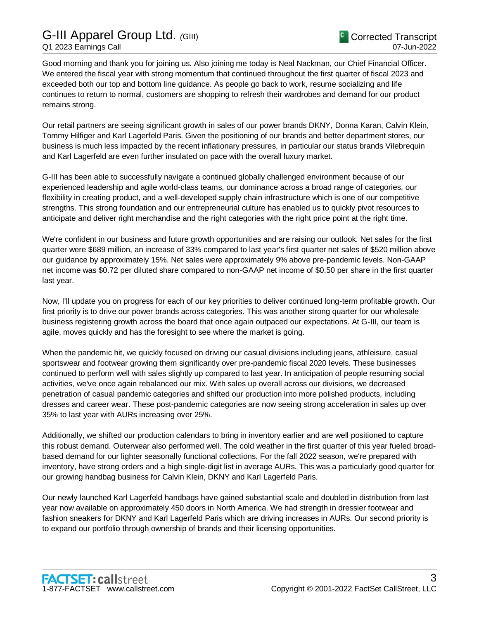Good morning and thank you for joining us. Also joining me today is Neal Nackman, our Chief Financial Officer. We entered the fiscal year with strong momentum that continued throughout the first quarter of fiscal 2023 and exceeded both our top and bottom line guidance. As people go back to work, resume socializing and life continues to return to normal, customers are shopping to refresh their wardrobes and demand for our product remains strong.

Our retail partners are seeing significant growth in sales of our power brands DKNY, Donna Karan, Calvin Klein, Tommy Hilfiger and Karl Lagerfeld Paris. Given the positioning of our brands and better department stores, our business is much less impacted by the recent inflationary pressures, in particular our status brands Vilebrequin and Karl Lagerfeld are even further insulated on pace with the overall luxury market.

G-III has been able to successfully navigate a continued globally challenged environment because of our experienced leadership and agile world-class teams, our dominance across a broad range of categories, our flexibility in creating product, and a well-developed supply chain infrastructure which is one of our competitive strengths. This strong foundation and our entrepreneurial culture has enabled us to quickly pivot resources to anticipate and deliver right merchandise and the right categories with the right price point at the right time.

We're confident in our business and future growth opportunities and are raising our outlook. Net sales for the first quarter were \$689 million, an increase of 33% compared to last year's first quarter net sales of \$520 million above our guidance by approximately 15%. Net sales were approximately 9% above pre-pandemic levels. Non-GAAP net income was \$0.72 per diluted share compared to non-GAAP net income of \$0.50 per share in the first quarter last year.

Now, I'll update you on progress for each of our key priorities to deliver continued long-term profitable growth. Our first priority is to drive our power brands across categories. This was another strong quarter for our wholesale business registering growth across the board that once again outpaced our expectations. At G-III, our team is agile, moves quickly and has the foresight to see where the market is going.

When the pandemic hit, we quickly focused on driving our casual divisions including jeans, athleisure, casual sportswear and footwear growing them significantly over pre-pandemic fiscal 2020 levels. These businesses continued to perform well with sales slightly up compared to last year. In anticipation of people resuming social activities, we've once again rebalanced our mix. With sales up overall across our divisions, we decreased penetration of casual pandemic categories and shifted our production into more polished products, including dresses and career wear. These post-pandemic categories are now seeing strong acceleration in sales up over 35% to last year with AURs increasing over 25%.

Additionally, we shifted our production calendars to bring in inventory earlier and are well positioned to capture this robust demand. Outerwear also performed well. The cold weather in the first quarter of this year fueled broadbased demand for our lighter seasonally functional collections. For the fall 2022 season, we're prepared with inventory, have strong orders and a high single-digit list in average AURs. This was a particularly good quarter for our growing handbag business for Calvin Klein, DKNY and Karl Lagerfeld Paris.

Our newly launched Karl Lagerfeld handbags have gained substantial scale and doubled in distribution from last year now available on approximately 450 doors in North America. We had strength in dressier footwear and fashion sneakers for DKNY and Karl Lagerfeld Paris which are driving increases in AURs. Our second priority is to expand our portfolio through ownership of brands and their licensing opportunities.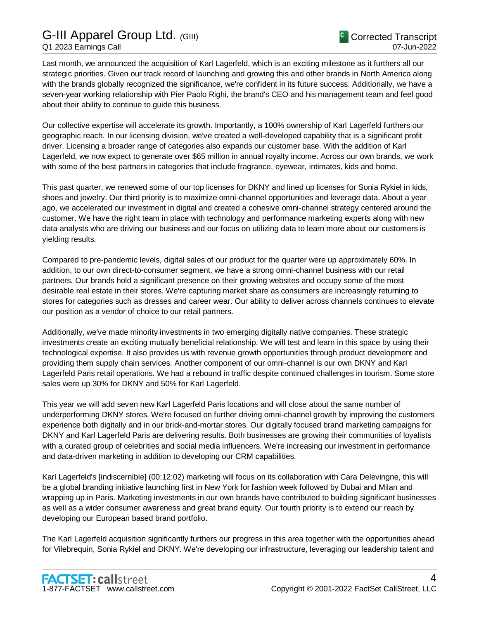Last month, we announced the acquisition of Karl Lagerfeld, which is an exciting milestone as it furthers all our strategic priorities. Given our track record of launching and growing this and other brands in North America along with the brands globally recognized the significance, we're confident in its future success. Additionally, we have a seven-year working relationship with Pier Paolo Righi, the brand's CEO and his management team and feel good about their ability to continue to guide this business.

Our collective expertise will accelerate its growth. Importantly, a 100% ownership of Karl Lagerfeld furthers our geographic reach. In our licensing division, we've created a well-developed capability that is a significant profit driver. Licensing a broader range of categories also expands our customer base. With the addition of Karl Lagerfeld, we now expect to generate over \$65 million in annual royalty income. Across our own brands, we work with some of the best partners in categories that include fragrance, eyewear, intimates, kids and home.

This past quarter, we renewed some of our top licenses for DKNY and lined up licenses for Sonia Rykiel in kids, shoes and jewelry. Our third priority is to maximize omni-channel opportunities and leverage data. About a year ago, we accelerated our investment in digital and created a cohesive omni-channel strategy centered around the customer. We have the right team in place with technology and performance marketing experts along with new data analysts who are driving our business and our focus on utilizing data to learn more about our customers is yielding results.

Compared to pre-pandemic levels, digital sales of our product for the quarter were up approximately 60%. In addition, to our own direct-to-consumer segment, we have a strong omni-channel business with our retail partners. Our brands hold a significant presence on their growing websites and occupy some of the most desirable real estate in their stores. We're capturing market share as consumers are increasingly returning to stores for categories such as dresses and career wear. Our ability to deliver across channels continues to elevate our position as a vendor of choice to our retail partners.

Additionally, we've made minority investments in two emerging digitally native companies. These strategic investments create an exciting mutually beneficial relationship. We will test and learn in this space by using their technological expertise. It also provides us with revenue growth opportunities through product development and providing them supply chain services. Another component of our omni-channel is our own DKNY and Karl Lagerfeld Paris retail operations. We had a rebound in traffic despite continued challenges in tourism. Some store sales were up 30% for DKNY and 50% for Karl Lagerfeld.

This year we will add seven new Karl Lagerfeld Paris locations and will close about the same number of underperforming DKNY stores. We're focused on further driving omni-channel growth by improving the customers experience both digitally and in our brick-and-mortar stores. Our digitally focused brand marketing campaigns for DKNY and Karl Lagerfeld Paris are delivering results. Both businesses are growing their communities of loyalists with a curated group of celebrities and social media influencers. We're increasing our investment in performance and data-driven marketing in addition to developing our CRM capabilities.

Karl Lagerfeld's [indiscernible] (00:12:02) marketing will focus on its collaboration with Cara Delevingne, this will be a global branding initiative launching first in New York for fashion week followed by Dubai and Milan and wrapping up in Paris. Marketing investments in our own brands have contributed to building significant businesses as well as a wider consumer awareness and great brand equity. Our fourth priority is to extend our reach by developing our European based brand portfolio.

The Karl Lagerfeld acquisition significantly furthers our progress in this area together with the opportunities ahead for Vilebrequin, Sonia Rykiel and DKNY. We're developing our infrastructure, leveraging our leadership talent and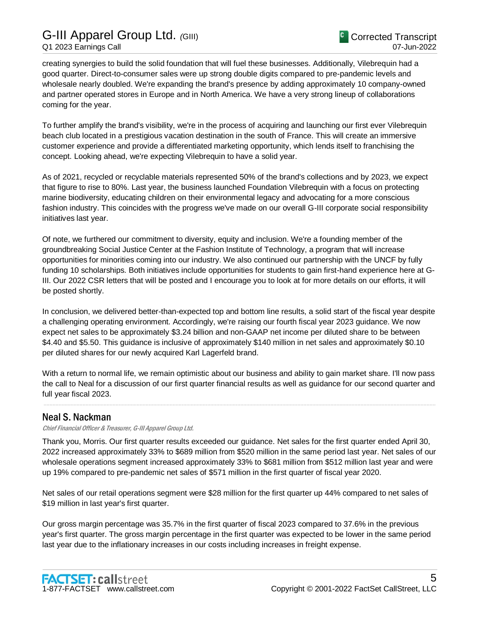creating synergies to build the solid foundation that will fuel these businesses. Additionally, Vilebrequin had a good quarter. Direct-to-consumer sales were up strong double digits compared to pre-pandemic levels and wholesale nearly doubled. We're expanding the brand's presence by adding approximately 10 company-owned and partner operated stores in Europe and in North America. We have a very strong lineup of collaborations coming for the year.

To further amplify the brand's visibility, we're in the process of acquiring and launching our first ever Vilebrequin beach club located in a prestigious vacation destination in the south of France. This will create an immersive customer experience and provide a differentiated marketing opportunity, which lends itself to franchising the concept. Looking ahead, we're expecting Vilebrequin to have a solid year.

As of 2021, recycled or recyclable materials represented 50% of the brand's collections and by 2023, we expect that figure to rise to 80%. Last year, the business launched Foundation Vilebrequin with a focus on protecting marine biodiversity, educating children on their environmental legacy and advocating for a more conscious fashion industry. This coincides with the progress we've made on our overall G-III corporate social responsibility initiatives last year.

Of note, we furthered our commitment to diversity, equity and inclusion. We're a founding member of the groundbreaking Social Justice Center at the Fashion Institute of Technology, a program that will increase opportunities for minorities coming into our industry. We also continued our partnership with the UNCF by fully funding 10 scholarships. Both initiatives include opportunities for students to gain first-hand experience here at G-III. Our 2022 CSR letters that will be posted and I encourage you to look at for more details on our efforts, it will be posted shortly.

In conclusion, we delivered better-than-expected top and bottom line results, a solid start of the fiscal year despite a challenging operating environment. Accordingly, we're raising our fourth fiscal year 2023 guidance. We now expect net sales to be approximately \$3.24 billion and non-GAAP net income per diluted share to be between \$4.40 and \$5.50. This guidance is inclusive of approximately \$140 million in net sales and approximately \$0.10 per diluted shares for our newly acquired Karl Lagerfeld brand.

With a return to normal life, we remain optimistic about our business and ability to gain market share. I'll now pass the call to Neal for a discussion of our first quarter financial results as well as guidance for our second quarter and full year fiscal 2023.

.....................................................................................................................................................................................................................................................................

## Neal S. Nackman

Chief Financial Officer & Treasurer, G-III Apparel Group Ltd.

Thank you, Morris. Our first quarter results exceeded our guidance. Net sales for the first quarter ended April 30, 2022 increased approximately 33% to \$689 million from \$520 million in the same period last year. Net sales of our wholesale operations segment increased approximately 33% to \$681 million from \$512 million last year and were up 19% compared to pre-pandemic net sales of \$571 million in the first quarter of fiscal year 2020.

Net sales of our retail operations segment were \$28 million for the first quarter up 44% compared to net sales of \$19 million in last year's first quarter.

Our gross margin percentage was 35.7% in the first quarter of fiscal 2023 compared to 37.6% in the previous year's first quarter. The gross margin percentage in the first quarter was expected to be lower in the same period last year due to the inflationary increases in our costs including increases in freight expense.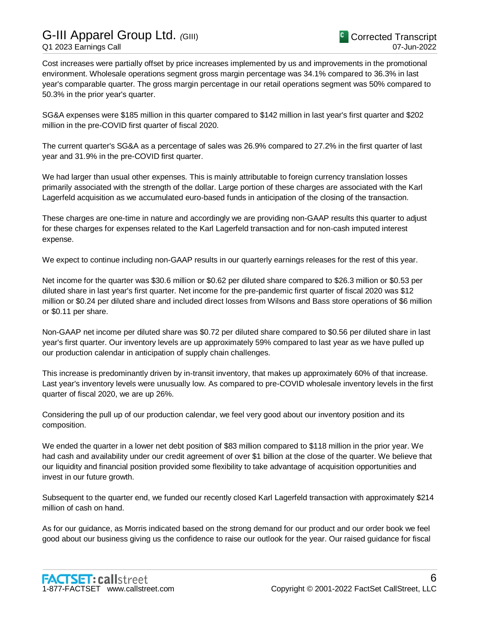Cost increases were partially offset by price increases implemented by us and improvements in the promotional environment. Wholesale operations segment gross margin percentage was 34.1% compared to 36.3% in last year's comparable quarter. The gross margin percentage in our retail operations segment was 50% compared to 50.3% in the prior year's quarter.

SG&A expenses were \$185 million in this quarter compared to \$142 million in last year's first quarter and \$202 million in the pre-COVID first quarter of fiscal 2020.

The current quarter's SG&A as a percentage of sales was 26.9% compared to 27.2% in the first quarter of last year and 31.9% in the pre-COVID first quarter.

We had larger than usual other expenses. This is mainly attributable to foreign currency translation losses primarily associated with the strength of the dollar. Large portion of these charges are associated with the Karl Lagerfeld acquisition as we accumulated euro-based funds in anticipation of the closing of the transaction.

These charges are one-time in nature and accordingly we are providing non-GAAP results this quarter to adjust for these charges for expenses related to the Karl Lagerfeld transaction and for non-cash imputed interest expense.

We expect to continue including non-GAAP results in our quarterly earnings releases for the rest of this year.

Net income for the quarter was \$30.6 million or \$0.62 per diluted share compared to \$26.3 million or \$0.53 per diluted share in last year's first quarter. Net income for the pre-pandemic first quarter of fiscal 2020 was \$12 million or \$0.24 per diluted share and included direct losses from Wilsons and Bass store operations of \$6 million or \$0.11 per share.

Non-GAAP net income per diluted share was \$0.72 per diluted share compared to \$0.56 per diluted share in last year's first quarter. Our inventory levels are up approximately 59% compared to last year as we have pulled up our production calendar in anticipation of supply chain challenges.

This increase is predominantly driven by in-transit inventory, that makes up approximately 60% of that increase. Last year's inventory levels were unusually low. As compared to pre-COVID wholesale inventory levels in the first quarter of fiscal 2020, we are up 26%.

Considering the pull up of our production calendar, we feel very good about our inventory position and its composition.

We ended the quarter in a lower net debt position of \$83 million compared to \$118 million in the prior year. We had cash and availability under our credit agreement of over \$1 billion at the close of the quarter. We believe that our liquidity and financial position provided some flexibility to take advantage of acquisition opportunities and invest in our future growth.

Subsequent to the quarter end, we funded our recently closed Karl Lagerfeld transaction with approximately \$214 million of cash on hand.

As for our guidance, as Morris indicated based on the strong demand for our product and our order book we feel good about our business giving us the confidence to raise our outlook for the year. Our raised guidance for fiscal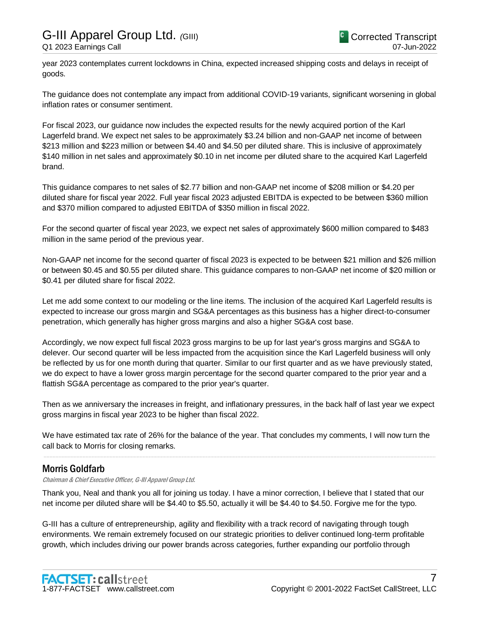year 2023 contemplates current lockdowns in China, expected increased shipping costs and delays in receipt of goods.

The guidance does not contemplate any impact from additional COVID-19 variants, significant worsening in global inflation rates or consumer sentiment.

For fiscal 2023, our guidance now includes the expected results for the newly acquired portion of the Karl Lagerfeld brand. We expect net sales to be approximately \$3.24 billion and non-GAAP net income of between \$213 million and \$223 million or between \$4.40 and \$4.50 per diluted share. This is inclusive of approximately \$140 million in net sales and approximately \$0.10 in net income per diluted share to the acquired Karl Lagerfeld brand.

This guidance compares to net sales of \$2.77 billion and non-GAAP net income of \$208 million or \$4.20 per diluted share for fiscal year 2022. Full year fiscal 2023 adjusted EBITDA is expected to be between \$360 million and \$370 million compared to adjusted EBITDA of \$350 million in fiscal 2022.

For the second quarter of fiscal year 2023, we expect net sales of approximately \$600 million compared to \$483 million in the same period of the previous year.

Non-GAAP net income for the second quarter of fiscal 2023 is expected to be between \$21 million and \$26 million or between \$0.45 and \$0.55 per diluted share. This guidance compares to non-GAAP net income of \$20 million or \$0.41 per diluted share for fiscal 2022.

Let me add some context to our modeling or the line items. The inclusion of the acquired Karl Lagerfeld results is expected to increase our gross margin and SG&A percentages as this business has a higher direct-to-consumer penetration, which generally has higher gross margins and also a higher SG&A cost base.

Accordingly, we now expect full fiscal 2023 gross margins to be up for last year's gross margins and SG&A to delever. Our second quarter will be less impacted from the acquisition since the Karl Lagerfeld business will only be reflected by us for one month during that quarter. Similar to our first quarter and as we have previously stated, we do expect to have a lower gross margin percentage for the second quarter compared to the prior year and a flattish SG&A percentage as compared to the prior year's quarter.

Then as we anniversary the increases in freight, and inflationary pressures, in the back half of last year we expect gross margins in fiscal year 2023 to be higher than fiscal 2022.

We have estimated tax rate of 26% for the balance of the year. That concludes my comments, I will now turn the call back to Morris for closing remarks.

.....................................................................................................................................................................................................................................................................

## Morris Goldfarb

Chairman & Chief Executive Officer, G-III Apparel Group Ltd.

Thank you, Neal and thank you all for joining us today. I have a minor correction, I believe that I stated that our net income per diluted share will be \$4.40 to \$5.50, actually it will be \$4.40 to \$4.50. Forgive me for the typo.

G-III has a culture of entrepreneurship, agility and flexibility with a track record of navigating through tough environments. We remain extremely focused on our strategic priorities to deliver continued long-term profitable growth, which includes driving our power brands across categories, further expanding our portfolio through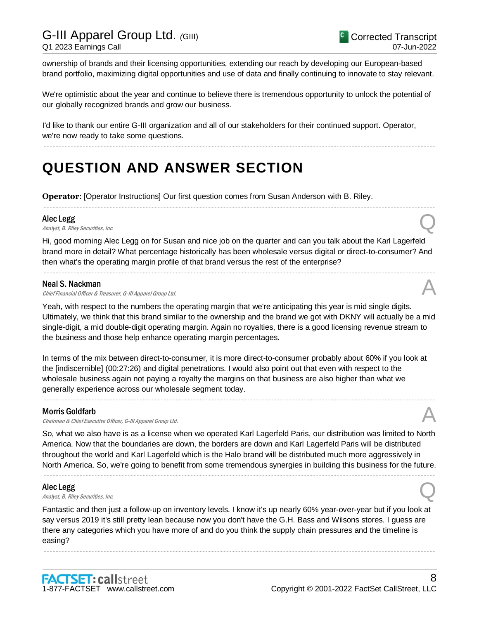ownership of brands and their licensing opportunities, extending our reach by developing our European-based brand portfolio, maximizing digital opportunities and use of data and finally continuing to innovate to stay relevant.

We're optimistic about the year and continue to believe there is tremendous opportunity to unlock the potential of our globally recognized brands and grow our business.

.....................................................................................................................................................................................................................................................................

I'd like to thank our entire G-III organization and all of our stakeholders for their continued support. Operator, we're now ready to take some questions.

## **QUESTION AND ANSWER SECTION**

**Operator**: [Operator Instructions] Our first question comes from Susan Anderson with B. Riley.

#### Alec Legg

Alec Legg<br>Analyst, B. Riley Securities, Inc.  $\bigotimes$ 

Hi, good morning Alec Legg on for Susan and nice job on the quarter and can you talk about the Karl Lagerfeld brand more in detail? What percentage historically has been wholesale versus digital or direct-to-consumer? And then what's the operating margin profile of that brand versus the rest of the enterprise?

.....................................................................................................................................................................................................................................................................

.....................................................................................................................................................................................................................................................................

#### Neal S. Nackman

Chief Financial Officer & Treasurer, G-III Apparel Group Ltd.

Yeah, with respect to the numbers the operating margin that we're anticipating this year is mid single digits. Ultimately, we think that this brand similar to the ownership and the brand we got with DKNY will actually be a mid single-digit, a mid double-digit operating margin. Again no royalties, there is a good licensing revenue stream to the business and those help enhance operating margin percentages.

In terms of the mix between direct-to-consumer, it is more direct-to-consumer probably about 60% if you look at the [indiscernible] (00:27:26) and digital penetrations. I would also point out that even with respect to the wholesale business again not paying a royalty the margins on that business are also higher than what we generally experience across our wholesale segment today.

.....................................................................................................................................................................................................................................................................

#### Morris Goldfarb

Chairman & Chief Executive Officer, G-III Apparel Group Ltd.

So, what we also have is as a license when we operated Karl Lagerfeld Paris, our distribution was limited to North America. Now that the boundaries are down, the borders are down and Karl Lagerfeld Paris will be distributed throughout the world and Karl Lagerfeld which is the Halo brand will be distributed much more aggressively in North America. So, we're going to benefit from some tremendous synergies in building this business for the future.

.....................................................................................................................................................................................................................................................................

#### Alec Legg

**Alec Legg**<br>Analyst, B. Riley Securities, Inc.  $\bigotimes$ 

Fantastic and then just a follow-up on inventory levels. I know it's up nearly 60% year-over-year but if you look at say versus 2019 it's still pretty lean because now you don't have the G.H. Bass and Wilsons stores. I guess are there any categories which you have more of and do you think the supply chain pressures and the timeline is easing?

.....................................................................................................................................................................................................................................................................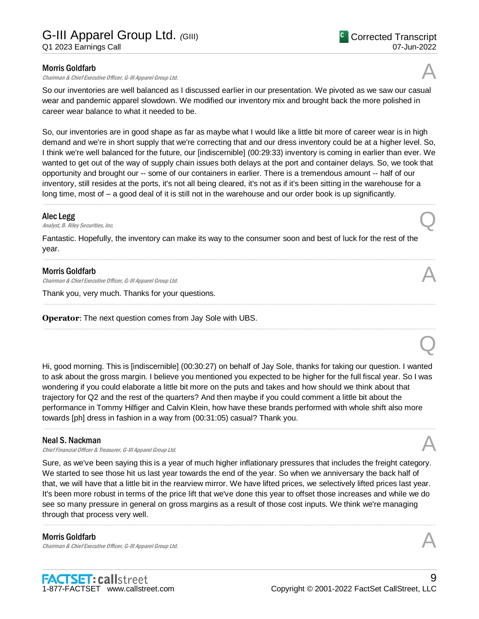#### Morris Goldfarb

Chairman & Chief Executive Officer, G-III Apparel Group Ltd.

So our inventories are well balanced as I discussed earlier in our presentation. We pivoted as we saw our casual wear and pandemic apparel slowdown. We modified our inventory mix and brought back the more polished in career wear balance to what it needed to be.

So, our inventories are in good shape as far as maybe what I would like a little bit more of career wear is in high demand and we're in short supply that we're correcting that and our dress inventory could be at a higher level. So, I think we're well balanced for the future, our [indiscernible] (00:29:33) inventory is coming in earlier than ever. We wanted to get out of the way of supply chain issues both delays at the port and container delays. So, we took that opportunity and brought our -- some of our containers in earlier. There is a tremendous amount -- half of our inventory, still resides at the ports, it's not all being cleared, it's not as if it's been sitting in the warehouse for a long time, most of – a good deal of it is still not in the warehouse and our order book is up significantly.

.....................................................................................................................................................................................................................................................................

.....................................................................................................................................................................................................................................................................

.....................................................................................................................................................................................................................................................................

.....................................................................................................................................................................................................................................................................

#### Alec Legg

Alec Legg<br>Analyst, B. Riley Securities, Inc.  $\bigotimes$ 

Fantastic. Hopefully, the inventory can make its way to the consumer soon and best of luck for the rest of the year.

#### Morris Goldfarb

Chairman & Chief Executive Officer, G-III Apparel Group Ltd.

Thank you, very much. Thanks for your questions.

**Operator**: The next question comes from Jay Sole with UBS.

Hi, good morning. This is [indiscernible] (00:30:27) on behalf of Jay Sole, thanks for taking our question. I wanted to ask about the gross margin. I believe you mentioned you expected to be higher for the full fiscal year. So I was wondering if you could elaborate a little bit more on the puts and takes and how should we think about that trajectory for Q2 and the rest of the quarters? And then maybe if you could comment a little bit about the performance in Tommy Hilfiger and Calvin Klein, how have these brands performed with whole shift also more towards [ph] dress in fashion in a way from (00:31:05) casual? Thank you.

.....................................................................................................................................................................................................................................................................

#### Neal S. Nackman

Chief Financial Officer & Treasurer, G-III Apparel Group Ltd.

Sure, as we've been saying this is a year of much higher inflationary pressures that includes the freight category. We started to see those hit us last year towards the end of the year. So when we anniversary the back half of that, we will have that a little bit in the rearview mirror. We have lifted prices, we selectively lifted prices last year. It's been more robust in terms of the price lift that we've done this year to offset those increases and while we do see so many pressure in general on gross margins as a result of those cost inputs. We think we're managing through that process very well.

.....................................................................................................................................................................................................................................................................

### Morris Goldfarb

Chairman & Chief Executive Officer, G-III Apparel Group Ltd.





Q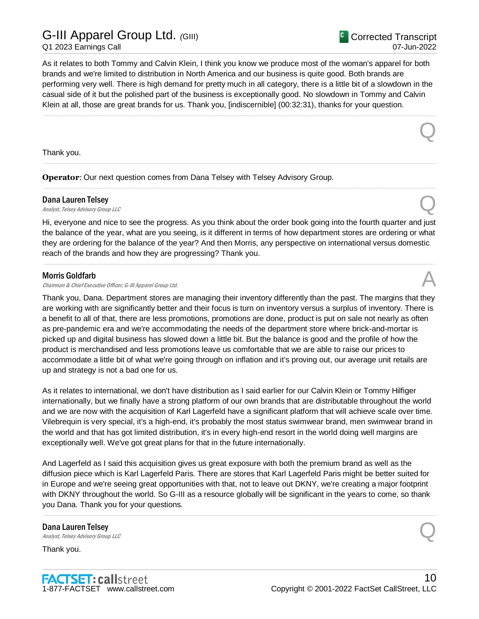## G-III Apparel Group Ltd. *(*GIII)

Q1 2023 Earnings Call

Q

As it relates to both Tommy and Calvin Klein, I think you know we produce most of the woman's apparel for both brands and we're limited to distribution in North America and our business is quite good. Both brands are performing very well. There is high demand for pretty much in all category, there is a little bit of a slowdown in the casual side of it but the polished part of the business is exceptionally good. No slowdown in Tommy and Calvin Klein at all, those are great brands for us. Thank you, [indiscernible] (00:32:31), thanks for your question.

.....................................................................................................................................................................................................................................................................

.....................................................................................................................................................................................................................................................................

.....................................................................................................................................................................................................................................................................

Thank you.

**Operator**: Our next question comes from Dana Telsey with Telsey Advisory Group.

## Dana Lauren Telsey **Dana Lauren Telsey**<br>Analyst, Telsey Advisory Group LLC  $\mathcal{Q}$

Hi, everyone and nice to see the progress. As you think about the order book going into the fourth quarter and just the balance of the year, what are you seeing, is it different in terms of how department stores are ordering or what they are ordering for the balance of the year? And then Morris, any perspective on international versus domestic reach of the brands and how they are progressing? Thank you.

.....................................................................................................................................................................................................................................................................

#### Morris Goldfarb

Chairman & Chief Executive Officer, G-III Apparel Group Ltd.

Thank you, Dana. Department stores are managing their inventory differently than the past. The margins that they are working with are significantly better and their focus is turn on inventory versus a surplus of inventory. There is a benefit to all of that, there are less promotions, promotions are done, product is put on sale not nearly as often as pre-pandemic era and we're accommodating the needs of the department store where brick-and-mortar is picked up and digital business has slowed down a little bit. But the balance is good and the profile of how the product is merchandised and less promotions leave us comfortable that we are able to raise our prices to accommodate a little bit of what we're going through on inflation and it's proving out, our average unit retails are up and strategy is not a bad one for us.

As it relates to international, we don't have distribution as I said earlier for our Calvin Klein or Tommy Hilfiger internationally, but we finally have a strong platform of our own brands that are distributable throughout the world and we are now with the acquisition of Karl Lagerfeld have a significant platform that will achieve scale over time. Vilebrequin is very special, it's a high-end, it's probably the most status swimwear brand, men swimwear brand in the world and that has got limited distribution, it's in every high-end resort in the world doing well margins are exceptionally well. We've got great plans for that in the future internationally.

And Lagerfeld as I said this acquisition gives us great exposure with both the premium brand as well as the diffusion piece which is Karl Lagerfeld Paris. There are stores that Karl Lagerfeld Paris might be better suited for in Europe and we're seeing great opportunities with that, not to leave out DKNY, we're creating a major footprint with DKNY throughout the world. So G-III as a resource globally will be significant in the years to come, so thank you Dana. Thank you for your questions.

.....................................................................................................................................................................................................................................................................

## Dana Lauren Telsey **Dana Lauren Telsey**<br>Analyst, Telsey Advisory Group LLC  $\mathcal{Q}$

Thank you.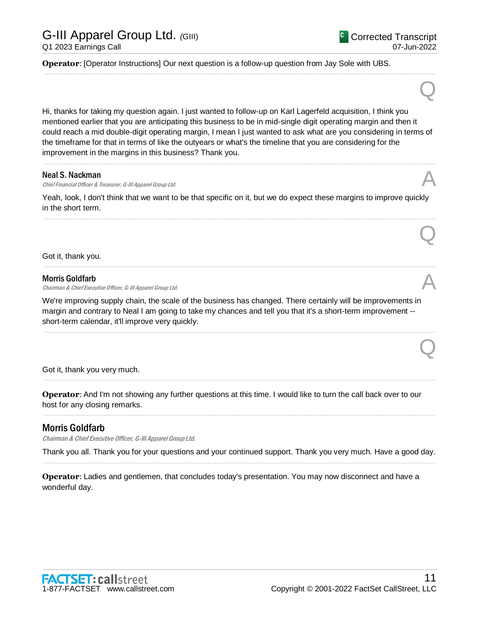Q

Q

Q

**Operator**: [Operator Instructions] Our next question is a follow-up question from Jay Sole with UBS.

Hi, thanks for taking my question again. I just wanted to follow-up on Karl Lagerfeld acquisition, I think you mentioned earlier that you are anticipating this business to be in mid-single digit operating margin and then it could reach a mid double-digit operating margin, I mean I just wanted to ask what are you considering in terms of the timeframe for that in terms of like the outyears or what's the timeline that you are considering for the improvement in the margins in this business? Thank you.

.....................................................................................................................................................................................................................................................................

.....................................................................................................................................................................................................................................................................

#### Neal S. Nackman

Chief Financial Officer & Treasurer, G-III Apparel Group Ltd.

Yeah, look, I don't think that we want to be that specific on it, but we do expect these margins to improve quickly in the short term.

.....................................................................................................................................................................................................................................................................

.....................................................................................................................................................................................................................................................................

Got it, thank you.

#### Morris Goldfarb

Chairman & Chief Executive Officer, G-III Apparel Group Ltd.

We're improving supply chain, the scale of the business has changed. There certainly will be improvements in margin and contrary to Neal I am going to take my chances and tell you that it's a short-term improvement - short-term calendar, it'll improve very quickly.

.....................................................................................................................................................................................................................................................................

.....................................................................................................................................................................................................................................................................

.....................................................................................................................................................................................................................................................................

Got it, thank you very much.

**Operator**: And I'm not showing any further questions at this time. I would like to turn the call back over to our host for any closing remarks.

## Morris Goldfarb

Chairman & Chief Executive Officer, G-III Apparel Group Ltd.

Thank you all. Thank you for your questions and your continued support. Thank you very much. Have a good day. .....................................................................................................................................................................................................................................................................

**Operator**: Ladies and gentlemen, that concludes today's presentation. You may now disconnect and have a wonderful day.